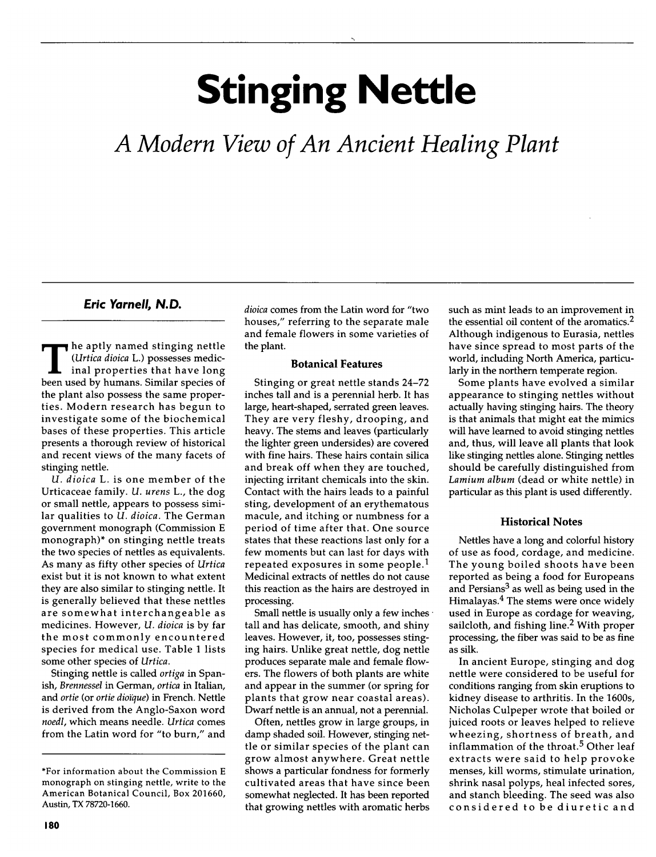# Stinging Nettle

A Modern View of An Ancient Healing Plant

## Eric Yarnell, N.D.

The aptly named stinging nettle<br>
(*Urtica dioica* L.) possesses medic-<br>
inal properties that have long (Urtica dioica L.) possesses medicbeen used by humans. Similar species of the plant also possess the same properties. Modern research has begun to investigate some of the biochemical bases of these properties. This article presents <sup>a</sup> thorough review of historical and recent views of the many facets of stinging nettle.

U. dioica L. is one member of the Urticaceae family. U. urens L., the dog or small nettle, appears to possess similar qualities to U. dioica. The German government monograph (Commission <sup>E</sup> monograph)\* on stinging nettle treats the two species of nettles as equivalents. As many as fifty other species of Urtica exist but it is not known to what extent they are also similar to stinging nettle. It is generally believed that these nettles are somewhat interchangeable as medicines. However, *U. dioica* is by far the most commonly encountered species for medical use. Table <sup>1</sup> lists some other species of Urtica.

Stinging nettle is called ortiga in Spanish, Brennessel in German, ortica in Italian, and ortie (or ortie dioïque) in French. Nettle is derived from the Anglo-Saxon word noedl, which means needle. Urtica comes from the Latin word for "to burn," and dioica comes from the Latin word for "two houses," referring to the separate male and female flowers in some varieties of the plant.

## Botanical Features

Stinging or great nettle stands 24-72 inches tall and is <sup>a</sup> perennial herb. It has large, heart-shaped, serrated green leaves. They are very fleshy, drooping, and heavy. The stems and leaves (particularly the lighter green undersides) are covered with fine hairs. These hairs contain silica and break off when they are touched, injecting irritant chemicals into the skin. Contact with the hairs leads to <sup>a</sup> painful sting, development of an erythematous macule, and itching or numbness for <sup>a</sup> period of time after that. One source states that these reactions last only for <sup>a</sup> few moments but can last for days with repeated exposures in some people.<sup>1</sup> Medicinal extracts of nettles do not cause this reaction as the hairs are destroyed in processing.

Small nettle is usually only <sup>a</sup> few inches tall and has delicate, smooth, and shiny leaves. However, it, too, possesses stinging hairs. Unlike great nettle, dog nettle produces separate male and female flowers. The flowers of both plants are white and appear in the summer (or spring for plants that grow near coastal areas). Dwarf nettle is an annual, not <sup>a</sup> perennial.

Often, nettles grow in large groups, in damp shaded soil. However, stinging nettle or similar species of the plant can grow almost anywhere. Great nettle shows <sup>a</sup> particular fondness for formerly cultivated areas that have since been somewhat neglected. It has been reported that growing nettles with aromatic herbs such as mint leads to an improvement in the essential oil content of the aromatics.2 Although indigenous to Eurasia, nettles have since spread to most parts of the world, including North America, particularly in the northern temperate region.

Some plants have evolved <sup>a</sup> similar appearance to stinging nettles without actually having stinging hairs. The theory is that animals that might eat the mimics will have learned to avoid stinging nettles and, thus, will leave all plants that look like stinging nettles alone. Stinging nettles should be carefully distinguished from Lamium album (dead or white nettle) in particular as this plant is used differently.

#### Historical Notes

Nettles have a long and colorful history of use as food, cordage, and medicine. The young boiled shoots have been reported as being <sup>a</sup> food for Europeans and Persians<sup>3</sup> as well as being used in the Himalayas.4 The stems were once widely used in Europe as cordage for weaving, sailcloth, and fishing line.<sup>2</sup> With proper processing, the fiber was said to be as fine as silk.

In ancient Europe, stinging and dog nettle were considered to be useful for conditions ranging from skin eruptions to kidney disease to arthritis. In the 1600s, Nicholas Culpeper wrote that boiled or juiced roots or leaves helped to relieve wheezing, shortness of breath, and inflammation of the throat.<sup>5</sup> Other leaf extracts were said to help provoke menses, kill worms, stimulate urination, shrink nasal polyps, heal infected sores, and stanch bleeding. The seed was also considered to be diuretic and

<sup>\*</sup>For information about the Commission <sup>E</sup> monograph on stinging nettle, write to the American Botanical Council, Box 201660, Austin, TX 78720-1660.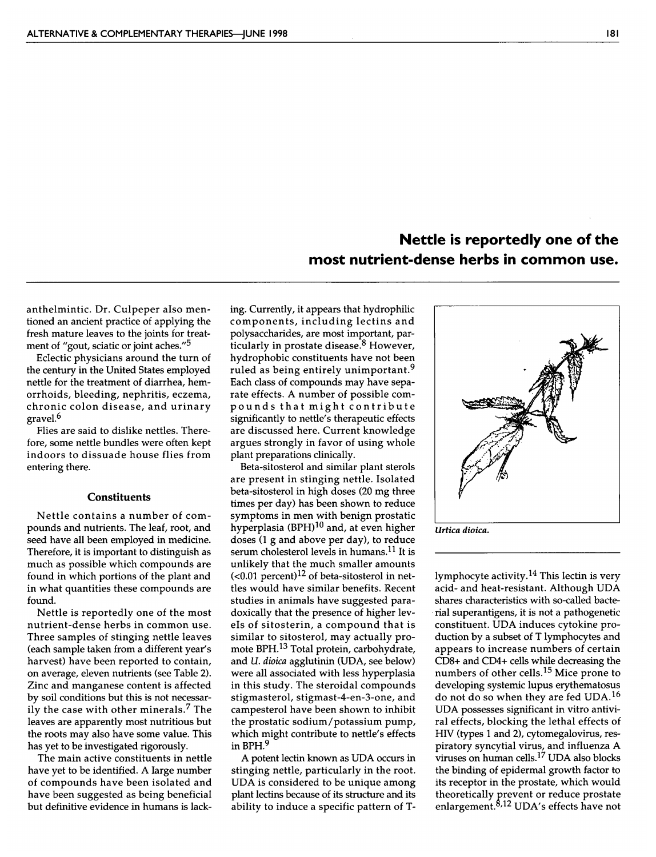# Nettle is reportedly one of the most nutrient-dense herbs in common use.

anthelmintic. Dr. Culpeper also mentioned an ancient practice of applying the fresh mature leaves to the joints for treatment of "gout, sciatic or joint aches."<sup>5</sup>

Eclectic physicians around the turn of the century in the United States employed nettle for the treatment of diarrhea, hemorrhoids, bleeding, nephritis, eczema, chronic colon disease, and urinary gravel.6

Flies are said to dislike nettles. Therefore, some nettle bundles were often kept indoors to dissuade house flies from entering there.

#### **Constituents**

Nettle contains <sup>a</sup> number of compounds and nutrients. The leaf, root, and seed have all been employed in medicine. Therefore, it is important to distinguish as much as possible which compounds are found in which portions of the plant and in what quantities these compounds are found.

Nettle is reportedly one of the most nutrient-dense herbs in common use. Three samples of stinging nettle leaves (each sample taken from <sup>a</sup> different year's harvest) have been reported to contain, on average, eleven nutrients (see Table 2). Zinc and manganese content is affected by soil conditions but this is not necessarily the case with other minerals.7 The leaves are apparently most nutritious but the roots may also have some value. This has yet to be investigated rigorously.

The main active constituents in nettle have yet to be identified. A large number of compounds have been isolated and have been suggested as being beneficial but definitive evidence in humans is lacking. Currently, it appears that hydrophilic components, including lectins and polysaccharides, are most important, particularly in prostate disease.<sup>8</sup> However, hydrophobic constituents have not been ruled as being entirely unimportant.<sup>9</sup> Each class of compounds may have separate effects. A number of possible compounds that might contribute significantly to nettle's therapeutic effects are discussed here. Current knowledge argues strongly in favor of using whole plant preparations clinically.

Beta-sitosterol and similar plant sterols are present in stinging nettle. Isolated beta-sitosterol in high doses (20 mg three times per day) has been shown to reduce symptoms in men with benign prostatic hyperplasia  $(BPH)^{10}$  and, at even higher doses (1 <sup>g</sup> and above per day), to reduce serum cholesterol levels in humans.11 It is unlikely that the much smaller amounts  $(<0.01$  percent)<sup>12</sup> of beta-sitosterol in nettles would have similar benefits. Recent studies in animals have suggested paradoxically that the presence of higher levels of sitosterin, <sup>a</sup> compound that is similar to sitosterol, may actually promote BPH.13 Total protein, carbohydrate, and *U. dioica* agglutinin (UDA, see below) were all associated with less hyperplasia in this study. The steroidal compounds stigmasterol, stigmast-4-en-3-one, and campesterol have been shown to inhibit the prostatic sodium/potassium pump, which might contribute to nettle's effects in BPH.<sup>9</sup>

A potent lectin known as UDA occurs in stinging nettle, particularly in the root. UDA is considered to be unique among plant lectins because of its structure and its ability to induce <sup>a</sup> specific pattern of T-

Urtica dioica.

lymphocyte activity.14 This lectin is very acid- and heat-resistant. Although UDA shares characteristics with so-called bacterial superantigens, it is not <sup>a</sup> pathogenetic constituent. UDA induces cytokine production by <sup>a</sup> subset of <sup>T</sup> lymphocytes and appears to increase numbers of certain CD8+ and CD4+ cells while decreasing the numbers of other cells.15 Mice prone to developing systemic lupus erythematosus do not do so when they are fed UDA.16 UDA possesses significant in vitro antiviral effects, blocking the lethal effects of HIV (types <sup>1</sup> and 2), cytomegalovirus, respiratory syncytial virus, and influenza A viruses on human cells.17 UDA also blocks the binding of epidermal growth factor to its receptor in the prostate, which would theoretically prevent or reduce prostate enlargement.8'12 UDA's effects have not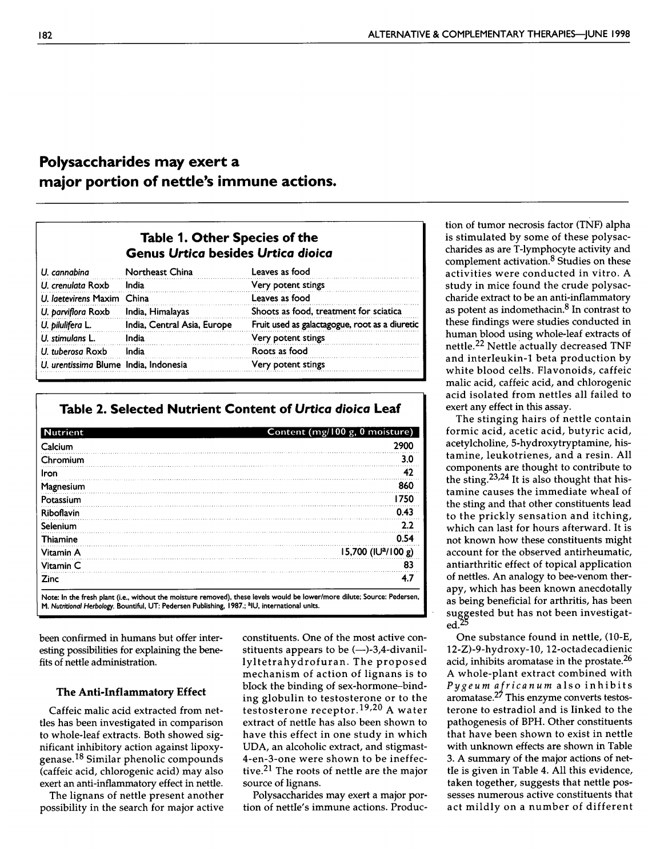# Polysaccharides may exert <sup>a</sup> major portion of nettle's immune actions.

# Table 1. Other Species of the Genus Urtica besides Urtica dioica

| U. cannabina                          | Northeast China             | Leaves as food                                 |
|---------------------------------------|-----------------------------|------------------------------------------------|
| U. crenulata Roxb                     | India                       | Very potent stings                             |
| U. laetevirens Maxim China            |                             | Leaves as food                                 |
| U. parviflora Roxb                    | India, Himalayas            | Shoots as food, treatment for sciatica         |
| U. pilulifera L.                      | India, Central Asia, Europe | Fruit used as galactagogue, root as a diuretic |
| U. stimulans L.                       | India                       | Very potent stings                             |
| U. tuberosa Roxb                      | India                       | Roots as food                                  |
| U. urentissima Blume India, Indonesia |                             | Very potent stings                             |

## Table 2. Selected Nutrient Content of Urtica dioica Leaf

| <b>Nutrient</b> | Content (mg/100 g, 0 moisture)  |
|-----------------|---------------------------------|
| Calcium         | 2900                            |
| Chromium        | 3.0                             |
| Iron            | 42                              |
| Magnesium       | 860                             |
| Potassium       | 1750                            |
| Riboflavin      | 0.43                            |
| Selenium        | 2.2                             |
| <b>Thiamine</b> | 0.54                            |
| Vitamin A       | 15,700 (IU <sup>2</sup> /100 g) |
| Vitamin C       | 83                              |
| <b>Zinc</b>     | 4.7                             |

been confirmed in humans but offer interesting possibilities for explaining the benefits of nettle administration.

#### The Anti-Inflammatory Effect

Caffeic malic acid extracted from nettles has been investigated in comparison to whole-leaf extracts. Both showed significant inhibitory action against lipoxygenase.18 Similar phenolic compounds (caffeic acid, chlorogenic acid) may also exert an anti-inflammatory effect in nettle.

The lignans of nettle present another possibility in the search for major active

constituents. One of the most active constituents appears to be (—)-3,4-divanillyltetrahydrofuran. The proposed mechanism of action of lignans is to block the binding of sex-hormone-binding globulin to testosterone or to the testosterone receptor.19,20 A water extract of nettle has also been shown to have this effect in one study in which UDA, an alcoholic extract, and stigmast-4-en-3-one were shown to be ineffective.21 The roots of nettle are the major source of lignans.

Polysaccharides may exert <sup>a</sup> major portion of nettle's immune actions. Production of tumor necrosis factor (TNF) alpha is stimulated by some of these polysaccharides as are T-lymphocyte activity and complement activation.<sup>8</sup> Studies on these activities were conducted in vitro. A study in mice found the crude polysaccharide extract to be an anti-inflammatory as potent as indomethacin.<sup>8</sup> In contrast to these findings were studies conducted in human blood using whole-leaf extracts of nettle.22 Nettle actually decreased TNF and interleukin-1 beta production by white blood cells. Flavonoids, caffeic malic acid, caffeic acid, and chlorogenic acid isolated from nettles all failed to exert any effect in this assay.

The stinging hairs of nettle contain formic acid, acetic acid, butyric acid, acetylcholine, 5-hydroxytryptamine, histamine, leukotrienes, and <sup>a</sup> resin. All components are thought to contribute to the sting.<sup>23,24</sup> It is also thought that histamine causes the immediate wheal of the sting and that other constituents lead to the prickly sensation and itching, which can last for hours afterward. It is not known how these constituents might account for the observed antirheumatic, antiarthritic effect of topical application of nettles. An analogy to bee-venom therapy, which has been known anecdotally as being beneficial for arthritis, has been suggested but has not been investigated. $\omega$ 

One substance found in nettle, (10-E, 12-Z)-9-hydroxy-10, 12-octadecadienic acid, inhibits aromatase in the prostate.<sup>26</sup> A whole-plant extract combined with Pygeum africanum also inhibits aromatase.27 This enzyme converts testosterone to estradiol and is linked to the pathogenesis of BPH. Other constituents that have been shown to exist in nettle with unknown effects are shown in Table 3. A summary of the major actions of nettle is given in Table 4. All this evidence, taken together, suggests that nettle possesses numerous active constituents that act mildly on <sup>a</sup> number of different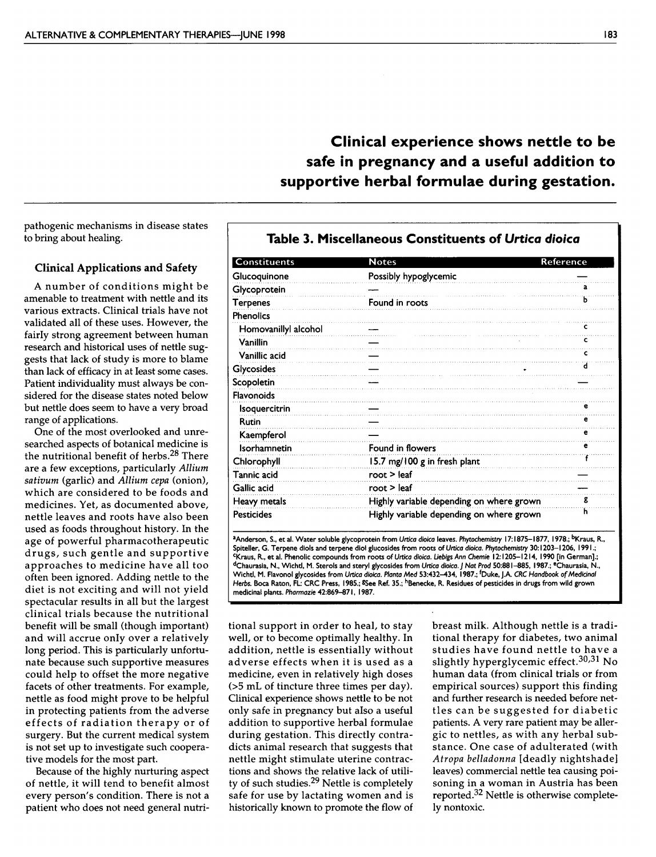# Clinical experience shows nettle to be safe in pregnancy and <sup>a</sup> useful addition to supportive herbal formulae during gestation.

pathogenic mechanisms in disease states to bring about healing.

### Clinical Applications and Safety

Constituents

<sup>A</sup> number of conditions might be amenable to treatment with nettle and its various extracts. Clinical trials have not validated all of these uses. However, the fairly strong agreement between human research and historical uses of nettle suggests that lack of study is more to blame than lack of efficacy in at least some cases. Patient individuality must always be considered for the disease states noted below but nettle does seem to have <sup>a</sup> very broad range of applications.

One of the most overlooked and unresearched aspects of botanical medicine is the nutritional benefit of herbs.28 There are <sup>a</sup> few exceptions, particularly Allium sativum (garlic) and Allium cepa (onion), which are considered to be foods and medicines. Yet, as documented above, nettle leaves and roots have also been used as foods throughout history. In the age of powerful pharmacotherapeutic drugs, such gentle and supportive approaches to medicine have all too often been ignored. Adding nettle to the diet is not exciting and will not yield spectacular results in all but the largest clinical trials because the nutritional benefit will be small (though important) and will accrue only over <sup>a</sup> relatively long period. This is particularly unfortunate because such supportive measures could help to offset the more negative facets of other treatments. For example, nettle as food might prove to be helpful in protecting patients from the adverse effects of radiation therapy or of surgery. But the current medical system is not set up to investigate such cooperative models for the most part.

Because of the highly nurturing aspect of nettle, it will tend to benefit almost every person's condition. There is not <sup>a</sup> patient who does not need general nutri-

| <b>Constituents</b>  | <b>Notes</b>                             | Reference |
|----------------------|------------------------------------------|-----------|
| Glucoquinone         | Possibly hypoglycemic                    |           |
| Glycoprotein         |                                          | a         |
| Terpenes             | Found in roots                           | ь         |
| <b>Phenolics</b>     |                                          |           |
| Homovanillyl alcohol |                                          | c         |
| Vanillin             |                                          | c         |
| Vanillic acid        |                                          |           |
| Glycosides           |                                          | d         |
| Scopoletin           |                                          |           |
| <b>Flavonoids</b>    |                                          |           |
| Isoquercitrin        |                                          |           |
| <b>Rutin</b>         |                                          | е         |
| Kaempferol           |                                          | е         |
| Isorhamnetin         | Found in flowers                         | е         |
| Chlorophyll          | 15.7 mg/100 g in fresh plant             |           |
| Tannic acid          | root $>$ leaf                            |           |
| Gallic acid          | root > leaf                              |           |
| Heavy metals         | Highly variable depending on where grown | g         |
| <b>Pesticides</b>    | Highly variable depending on where grown | n         |

<sup>a</sup>Anderson, S., et al. Water soluble glycoprotein from U*rtica dioica* leaves. Phytochemistry 17:1875–1877, 1978.; <sup>b</sup>Kraus, R. Spiteller, G. Terpene diols and terpene diol glucosides from roots of Urtica dioica. Phytochemistry 30:1203-1206, 1991.; <sup>c</sup>Kraus, R., et al. Phenolic compounds from roots of Urtica dioica. Liebigs Ann Chemie 12:1205-1214. 1990 [in German].; dChaurasia, N., Wichtl, M. Sterols and steryl glycosides from Urtica dioica.] Nat Prod 50:881-885, 1987.; eChaurasia, N., Wichtl, M. Flavonol glycosides from Urtica dioica. Planta Med 53:432-434, 1987.; <sup>f</sup>Duke, J.A. CRC Handbook of Medicinal Herbs. Boca Raton, FL: CRC Press, 1985.; <sup>8</sup>See Ref. 35.; <sup>h</sup>Benecke, R. Residues of pesticides in drugs from wild grown medicinal plants. Pharmazie 42:869-871, 1987.

tional support in order to heal, to stay well, or to become optimally healthy. In addition, nettle is essentially without adverse effects when it is used as <sup>a</sup> medicine, even in relatively high doses (>5 mL of tincture three times per day). Clinical experience shows nettle to be not only safe in pregnancy but also <sup>a</sup> useful addition to supportive herbal formulae during gestation. This directly contradicts animal research that suggests that nettle might stimulate uterine contractions and shows the relative lack of utility of such studies.<sup>29</sup> Nettle is completely safe for use by lactating women and is historically known to promote the flow of

breast milk. Although nettle is <sup>a</sup> traditional therapy for diabetes, two animal studies have found nettle to have <sup>a</sup> slightly hyperglycemic effect.<sup>30,31</sup> No human data (from clinical trials or from empirical sources) support this finding and further research is needed before nettles can be suggested for diabetic patients. A very rare patient may be allergic to nettles, as with any herbal substance. One case of adulterated (with Atropa belladonna [deadly nightshade] leaves) commercial nettle tea causing poisoning in <sup>a</sup> woman in Austria has been reported.<sup>32</sup> Nettle is otherwise completely nontoxic.

Table 3. Miscellaneous Constituents of Urtica dioica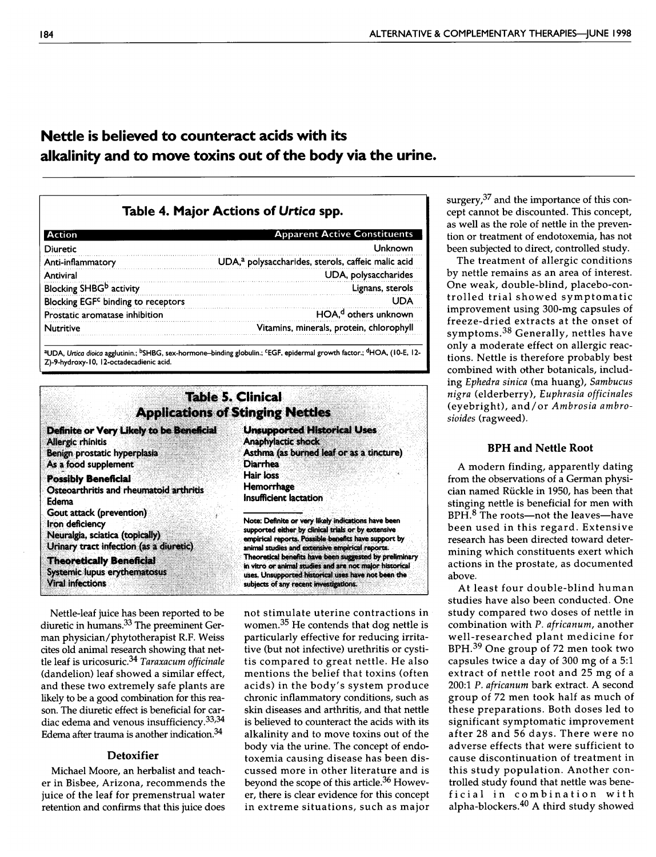# Nettle is believed to counteract acids with its alkalinity and to move toxins out of the body via the urine.

## Table 4. Major Actions of Urtica spp.

| <b>Action</b>                                  | <b>Apparent Active Constituents</b>                            |
|------------------------------------------------|----------------------------------------------------------------|
| <b>Diuretic</b>                                | Unknown                                                        |
| Anti-inflammatory                              | UDA, <sup>a</sup> polysaccharides, sterols, caffeic malic acid |
| Antiviral                                      | UDA, polysaccharides                                           |
| Blocking SHBG <sup>b</sup> activity            | Lignans, sterols                                               |
| Blocking EGF <sup>c</sup> binding to receptors | l INA                                                          |
| Prostatic aromatase inhibition                 | HOA, <sup>d</sup> others unknown                               |
| <b>Nutritive</b>                               | Vitamins, minerals, protein, chlorophyll                       |

<sup>a</sup>UDA, *Urtica dioica* agglutinin.; <sup>p</sup>SHBG, sex-hormone–binding globulin.; <sup>c</sup>EGF, epidermal growth factor.; <sup>o</sup>HOA, (10-E, 12-Z)-9-hydroxy-10, 12-octadecadienic acid.



Nettle-leaf juice has been reported to be diuretic in humans.33 The preeminent German physician/phytotherapist R.F. Weiss cites old animal research showing that nettle leaf is uricosuric.<sup>34</sup> Taraxacum officinale (dandelion) leaf showed <sup>a</sup> similar effect, and these two extremely safe plants are likely to be <sup>a</sup> good combination for this reason. The diuretic effect is beneficial for cardiac edema and venous insufficiency.<sup>33,34</sup> Edema after trauma is another indication.34

## **Detoxifier**

Michael Moore, an herbalist and teacher in Bisbee, Arizona, recommends the juice of the leaf for premenstrual water retention and confirms that this juice does

not stimulate uterine contractions in women. $35$  He contends that dog nettle is particularly effective for reducing irritative (but not infective) urethritis or cystitis compared to great nettle. He also mentions the belief that toxins (often acids) in the body's system produce chronic inflammatory conditions, such as skin diseases and arthritis, and that nettle is believed to counteract the acids with its alkalinity and to move toxins out of the body via the urine. The concept of endotoxemia causing disease has been discussed more in other literature and is beyond the scope of this article.<sup>36</sup> However, there is clear evidence for this concept in extreme situations, such as major surgery,<sup>37</sup> and the importance of this concept cannot be discounted. This concept, as well as the role of nettle in the prevention or treatment of endotoxemia, has not been subjected to direct, controlled study.

The treatment of allergic conditions by nettle remains as an area of interest. One weak, double-blind, placebo-controlled trial showed symptomatic improvement using 300-mg capsules of freeze-dried extracts at the onset of symptoms.38 Generally, nettles have only <sup>a</sup> moderate effect on allergic reactions. Nettle is therefore probably best combined with other botanicals, including Ephedra sinica (ma huang), Sambucus nigra (elderberry), Euphrasia officinales (eyebright), and/or Ambrosia ambrosioides (ragweed).

#### BPH and Nettle Root

A modern finding, apparently dating from the observations of <sup>a</sup> German physician named Ruckle in 1950, has been that stinging nettle is beneficial for men with BPH.<sup>8</sup> The roots—not the leaves—have been used in this regard. Extensive research has been directed toward determining which constituents exert which actions in the prostate, as documented above.

At least four double-blind human studies have also been conducted. One study compared two doses of nettle in combination with P. africanum, another well-researched plant medicine for BPH.39 One group of <sup>72</sup> men took two capsules twice <sup>a</sup> day of <sup>300</sup> mg of <sup>a</sup> 5:1 extract of nettle root and <sup>25</sup> mg of <sup>a</sup> 200:1 P. africanum bark extract. A second group of <sup>72</sup> men took half as much of these preparations. Both doses led to significant symptomatic improvement after <sup>28</sup> and <sup>56</sup> days. There were no adverse effects that were sufficient to cause discontinuation of treatment in this study population. Another controlled study found that nettle was beneficial in combination with alpha-blockers.40 A third study showed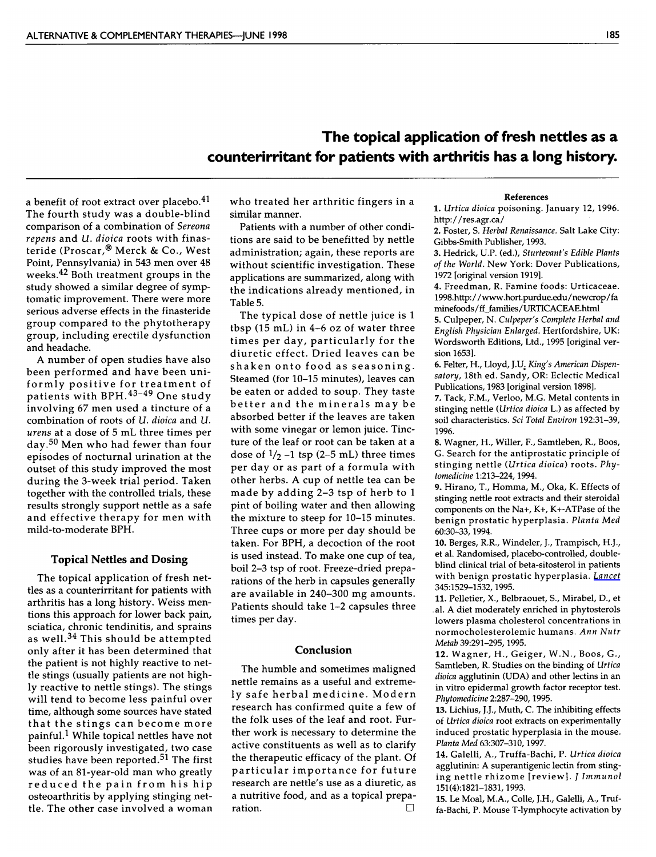# The topical application of fresh nettles as <sup>a</sup> counterirritant for patients with arthritis has <sup>a</sup> long history.

a benefit of root extract over placebo.<sup>41</sup> The fourth study was <sup>a</sup> double-blind comparison of <sup>a</sup> combination of Sereona repens and U. dioica roots with finasteride (Prosear,® Merck & Co., West Point, Pennsylvania) in <sup>543</sup> men over <sup>48</sup> weeks.42 Both treatment groups in the study showed <sup>a</sup> similar degree of symptomatic improvement. There were more serious adverse effects in the finasteride group compared to the phytotherapy group, including erectile dysfunction and headache.

A number of open studies have also been performed and have been uniformly positive for treatment of patients with BPH.43-49 One study involving <sup>67</sup> men used <sup>a</sup> tincture of <sup>a</sup> combination of roots of U. dioica and U. urens at <sup>a</sup> dose of <sup>5</sup> mL three times per day.50 Men who had fewer than four episodes of nocturnal urination at the outset of this study improved the most during the 3-week trial period. Taken together with the controlled trials, these results strongly support nettle as <sup>a</sup> safe and effective therapy for men with mild-to-moderate BPH.

#### Topical Nettles and Dosing

The topical application of fresh nettles as <sup>a</sup> counterirritant for patients with arthritis has <sup>a</sup> long history. Weiss mentions this approach for lower back pain, sciatica, chronic tendinitis, and sprains as well.34 This should be attempted only after it has been determined that the patient is not highly reactive to nettle stings (usually patients are not highly reactive to nettle stings). The stings will tend to become less painful over time, although some sources have stated that the stings can become more painful.1 While topical nettles have not been rigorously investigated, two case studies have been reported.<sup>51</sup> The first was of an 81-year-old man who greatly reduced the pain from his hip osteoarthritis by applying stinging nettle. The other case involved <sup>a</sup> woman who treated her arthritic fingers in <sup>a</sup> similar manner.

Patients with a number of other conditions are said to be benefitted by nettle administration; again, these reports are without scientific investigation. These applications are summarized, along with the indications already mentioned, in Table 5.

The typical dose of nettle juice is <sup>1</sup> tbsp (15 mL) in 4-6 oz of water three times per day, particularly for the diuretic effect. Dried leaves can be shaken onto food as seasoning. Steamed (for 10-15 minutes), leaves can be eaten or added to soup. They taste better and the minerals may be absorbed better if the leaves are taken with some vinegar or lemon juice. Tincture of the leaf or root can be taken at a dose of  $1/2$  -1 tsp (2-5 mL) three times per day or as part of <sup>a</sup> formula with other herbs. A cup of nettle tea can be made by adding 2-3 tsp of herb to <sup>1</sup> pint of boiling water and then allowing the mixture to steep for 10-15 minutes. Three cups or more per day should be taken. For BPH, <sup>a</sup> decoction of the root is used instead. To make one cup of tea, boil 2-3 tsp of root. Freeze-dried preparations of the herb in capsules generally are available in 240-300 mg amounts. Patients should take 1-2 capsules three times per day.

#### Conclusion

The humble and sometimes maligned nettle remains as <sup>a</sup> useful and extremely safe herbal medicine. Modern research has confirmed quite <sup>a</sup> few of the folk uses of the leaf and root. Further work is necessary to determine the active constituents as well as to clarify the therapeutic efficacy of the plant. Of particular importance for future research are nettle's use as <sup>a</sup> diuretic, as <sup>a</sup> nutritive food, and as <sup>a</sup> topical preparation.

#### References

1. Urtica dioica poisoning. January 12, 1996. http://res.agr.ca/

2. Foster, S. Herbal Renaissance. Salt Lake City: Gibbs-Smith Publisher, 1993.

3. Hedrick, U.P. (ed.), Sturtevant's Edible Plants of the World. New York: Dover Publications, <sup>1972</sup> [original version 1919].

4. Freedman, R. Famine foods: Urticaceae. 1998.http://www.hort.purdue.edu/newcrop/fa minefoods/ff families/URTICACEAE.html

5. Culpeper, N. Culpeper's Complete Herbal and English Physician Enlarged. Hertfordshire, UK: Wordsworth Editions, Ltd., <sup>1995</sup> [original version 1653].

6. Felter, H., Lloyd, J.U. King's American Dispensatory, 18th ed. Sandy, OR: Eclectic Medical Publications, <sup>1983</sup> [original version 1898].

7. Tack, F.M., Verloo, M.G. Metal contents in stinging nettle (Urtica dioica L.) as affected by soil characteristics. Sei Total Environ 192:31-39, 1996.

8. Wagner, H., Wilier, F., Samtleben, R., Boos, G. Search for the antiprostatic principle of stinging nettle (Urtica dioica) roots. Phytomedicine 1:213-224, 1994.

9. Hirano, T., Homma, M., Oka, K. Effects of stinging nettle root extracts and their steroidal components on the Na+, K+, K+-ATPase of the benign prostatic hyperplasia. Planta Med 60:30-33,1994.

10. Berges, R.R., Windeler,}., Trampisch, HJ., et al. Randomised, placebo-controlled, doubleblind clinical trial of beta-sitosterol in patients with benign prostatic hyperplasia. [Lancet](http://online.liebertpub.com/action/showLinks?pmid=7540705&crossref=10.1016%2FS0140-6736%2895%2991085-9) 345:1529-1532,1995.

11. Pelletier, X., Belbraouet, S., Mirabel, D., et al. A diet moderately enriched in phytosterols lowers plasma cholesterol concentrations in normocholesterolemic humans. Ann Nutr Metab 39:291-295,1995.

12. Wagner, H., Geiger, W.N., Boos, G., Samtleben, R. Studies on the binding of Urtica dioica agglutinin (UDA) and other lectins in an in vitro epidermal growth factor receptor test. Phytomedicine 2:287-290, 1995.

13. Lichius, J.J., Muth, C. The inhibiting effects of Urtica dioica root extracts on experimentally induced prostatic hyperplasia in the mouse. Planta Med 63:307-310,1997.

14. Galelli, A., Truffa-Bachi, P. Urtica dioica agglutinin: A superantigenic lectin from stinging nettle rhizome [review]. *J Immunol* 151(4):1821-1831,1993.

15. Le Moal, M.A., Colle, J.H., Galelli, A., Truffa-Bachi, P. Mouse T-lymphocyte activation by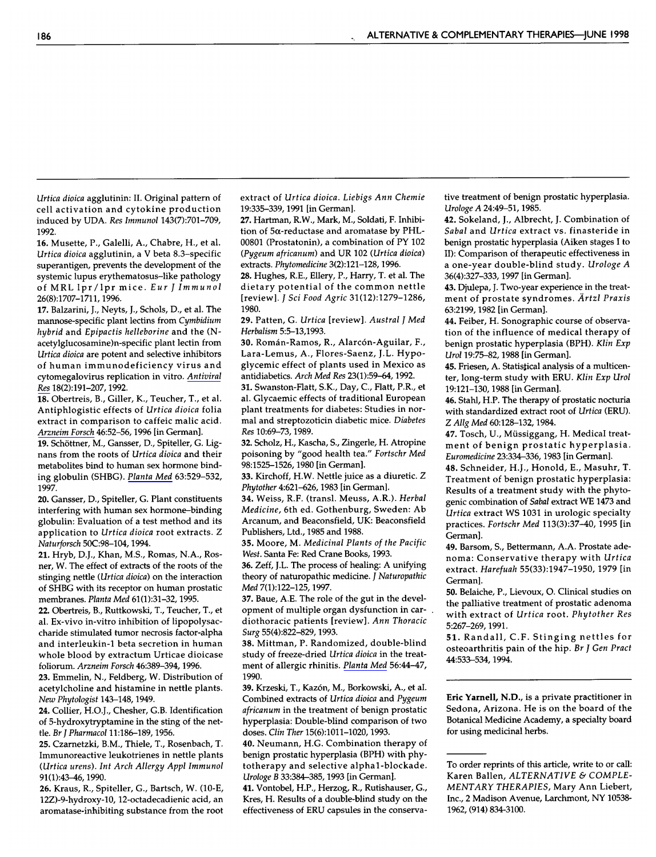Urtica dioica agglutinin: II. Original pattern of cell activation and cytokine production induced by UDA. Res Immunol 143(7):701-709, 1992.

16. Musette, P., Galelli, A., Chabre, H., et al. Urtica dioica agglutinin, <sup>a</sup> V beta 8.3-specific superantigen, prevents the development of the systemic lupus erythematosus-like pathology of MRL Ipr/lpr mice. Eur <sup>J</sup> Immunol 26(8):1707-1711,1996.

17. Balzarini, J., Neyts, }., Schols, D., et al. The mannose-specific plant lectins from Cymbidium hybrid and Epipactis helleborine and the (Nacetylglucosamine)n-specific plant lectin from Urtica dioica are potent and selective inhibitors of human immunodeficiency virus and cytomegalovirus replication in vitro. [Antiviral](http://online.liebertpub.com/action/showLinks?crossref=10.1016%2F0166-3542%2892%2990038-7) [Res](http://online.liebertpub.com/action/showLinks?crossref=10.1016%2F0166-3542%2892%2990038-7) 18(2):191-207,1992.

18. Obertreis, B., Giller, K., Teucher, T., et al. Antiphlogistic effects of Urtica dioica folia extract in comparison to caffeic malic acid. [Arzneim](http://online.liebertpub.com/action/showLinks?pmid=8821518) Forsch 46:52-56,1996 [in German].

19. Schöttner, M., Gansser, D., Spiteller, G. Lignans from the roots of Urtica dioica and their metabolites bind to human sex hormone binding globulin (SHBG). [Planta](http://online.liebertpub.com/action/showLinks?pmid=9434605&crossref=10.1055%2Fs-2006-957756) Med 63:529-532, 1997.

20. Gansser, D., Spiteller, G. Plant constituents interfering with human sex hormone-binding globulin: Evaluation of <sup>a</sup> test method and its application to Urtica dioica root extracts. <sup>Z</sup> Naturforsch 50C:98-104,1994.

21. Hryb, D.J., Khan, M.S., Romas, N.A., Rosner, W. The effect of extracts of the roots of the stinging nettle (Urtica dioica) on the interaction of SHBG with its receptor on human prostatic membranes. Planta Med 61(1):31-32, 1995.

22. Obertreis, B., Ruttkowski, T., Teucher, T., et al. Ex-vivo in-vitro inhibition of lipopolysaccharide stimulated tumor necrosis factor-alpha and interleukin-1 beta secretion in human whole blood by extractum Urticae dioicase foliorum. Arzneim Forsch 46:389-394,1996.

23. Emmelin, N., Feldberg, W. Distribution of acetylcholine and histamine in nettle plants. New Phytologist 143-148, 1949.

24. Collier, H.O.J., Chesher, G.B. Identification of 5-hydroxytryptamine in the sting of the nettle. BrJ Pharmacol 11:186-189,1956.

25. Czarnetzki, B.M., Thiele, T., Rosenbach, T. Immunoreactive leukotrienes in nettle plants (Urtica urens). Int Arch Allergy Appl Immunol 91(1):43-46,1990.

26. Kraus, R., Spiteller, G., Bartsch, W. (10-E, 12Z)-9-hydroxy-10, 12-octadecadienic acid, an aromatase-inhibiting substance from the root extract of Urtica dioica. Liebigs Ann Chemie 19:335-339,1991 [in German].

27. Hartman, R.W., Mark, M., Soldati, F. Inhibition of 5 $\alpha$ -reductase and aromatase by PHL-00801 (Prostatonin), a combination of PY 102 (Pygeum africanum) and UR <sup>102</sup> (Urtica dioica) extracts. Phytomedicine 3(2):121-128,1996.

28. Hughes, R.E., Ellery, P., Harry, T. et al. The dietary potential of the common nettle [review]. / Sei Food Agrie 31(12):1279-1286, 1980.

29. Patten, G. Urtica [review]. Austral <sup>J</sup> Med Herbalism 5:5-13,1993.

30. Román-Ramos, R., Alarcón-Aguilar, F., Lara-Lemus, A., Flores-Saenz, J.L. Hypoglycémie effect of plants used in Mexico as antidiabetics. Arch Med Res 23(l):59-64,1992.

31. Swanston-Flatt, S.K., Day, C., Flatt, P.R., et al. Glycaemic effects of traditional European plant treatments for diabetes: Studies in normal and streptozoticin diabetic mice. Diabetes Res 10:69-73,1989.

32. Scholz, H., Kascha, S., Zingerle, H. Atropine poisoning by "good health tea." Fortschr Med 98:1525-1526,1980 [in German].

33. Kirchoff, H.W. Nettle juice as <sup>a</sup> diuretic. Z Phytother 4:621-626,1983 [in German],

34. Weiss, R.F. (transi. Meuss, A.R.). Herbal Medicine, 6th ed. Gothenburg, Sweden: Ab Arcanum, and Beaconsfield, UK: Beaconsfield Publishers, Ltd., 1985 and 1988.

35. Moore, M. Medicinal Plants of the Pacific West. Santa Fe: Red Crane Books, 1993.

36. Zeff, J.L. The process of healing: A unifying theory of naturopathic medicine. J Naturopathic Med 7(1):122-125, 1997.

37. Baue, A.E. The role of the gut in the development of multiple organ dysfunction in cardiothoracic patients [review]. Ann Thoracic Swrg 55(4):822-829,1993.

38. Mittman, P. Randomized, double-blind study of freeze-dried Urtica dioica in the treatment of allergic rhinitis. [Planta](http://online.liebertpub.com/action/showLinks?pmid=2192379&crossref=10.1055%2Fs-2006-960881) Med 56:44-47, 1990.

39. Krzeski, T., Kazón, M., Borkowski, A., et al. Combined extracts of Urtica dioica and Pygeum africanum in the treatment of benign prostatic hyperplasia: Double-blind comparison of two doses. Clin Ther 15(6):1011-1020, 1993.

40. Neumann, H.G. Combination therapy of benign prostatic hyperplasia (BPH) with phytotherapy and selective alphal-blockade. Urologe <sup>B</sup> 33:384-385,1993 [in German].

41. Vontobel, H.P., Herzog, R., Rutishauser, G., Kres, H. Results of <sup>a</sup> double-blind study on the effectiveness of ERU capsules in the conservative treatment of benign prostatic hyperplasia. Urologe A 24:49-51,1985.

42. Sokeland, }., Albrecht, J. Combination of Sabal and Urtica extract vs. finasteride in benign prostatic hyperplasia (Aiken stages I to II): Comparison of therapeutic effectiveness in <sup>a</sup> one-year double-blind study. Urologe <sup>A</sup> 36(4):327-333,1997 [in German].

43. Djulepa, J. Two-year experience in the treatment of prostate syndromes. Artzl Praxis 63:2199,1982 [in German].

44. Feiber, H. Sonographic course of observation of the influence of medical therapy of benign prostatic hyperplasia (BPH). Klin Exp Urol 19:75-82,1988 [in German].

45. Friesen, A. Statistical analysis of a multicenter, long-term study with ERU. Klin Exp Urol 19:121-130,1988 [in German].

46. Stahl, H.P. The therapy of prostatic nocturia with standardized extract root of Urtica (ERU). Z Allg Med 60:128-132,1984.

47. Tosch, U., Müssiggang, H. Medical treatment of benign prostatic hyperplasia. Euromedicine 23:334-336,1983 [in German].

48. Schneider, H.J., Honold, E., Masuhr, T. Treatment of benign prostatic hyperplasia: Results of <sup>a</sup> treatment study with the phytogenic combination of Sabal extract WE <sup>1473</sup> and Urtica extract WS <sup>1031</sup> in urologie specialty practices. Fortschr Med 113(3):37-40, <sup>1995</sup> [in German].

49. Barsom, S., Bettermann, A.A. Prostate adenoma: Conservative therapy with Urtica extract. Harefuah 55(33):1947-1950, <sup>1979</sup> [in German].

50. Belaiche, P., Lievoux, O. Clinical studies on the palliative treatment of prostatic adenoma with extract of Urtica root. Phytother Res 5:267-269,1991.

51. Randall, C.F. Stinging nettles for osteoarthritis pain of the hip. Br <sup>J</sup> Gen Pract 44:533-534,1994.

Eric Yarnell, N.D., is <sup>a</sup> private practitioner in Sedona, Arizona. He is on the board of the Botanical Medicine Academy, <sup>a</sup> specialty board for using medicinal herbs.

To order reprints of this article, write to or call: Karen Ballen, ALTERNATIVE & COMPLE-MENTARY THERAPIES, Mary Ann Liebert, Inc., <sup>2</sup> Madison Avenue, Larchmont, NY 10538- 1962, (914) 834-3100.